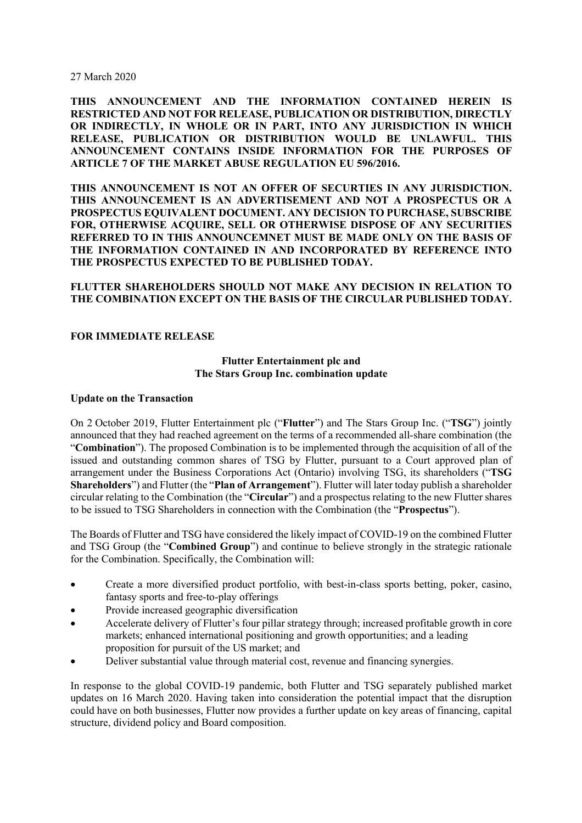27 March 2020

**THIS ANNOUNCEMENT AND THE INFORMATION CONTAINED HEREIN IS RESTRICTED AND NOT FOR RELEASE, PUBLICATION OR DISTRIBUTION, DIRECTLY OR INDIRECTLY, IN WHOLE OR IN PART, INTO ANY JURISDICTION IN WHICH RELEASE, PUBLICATION OR DISTRIBUTION WOULD BE UNLAWFUL. THIS ANNOUNCEMENT CONTAINS INSIDE INFORMATION FOR THE PURPOSES OF ARTICLE 7 OF THE MARKET ABUSE REGULATION EU 596/2016.**

**THIS ANNOUNCEMENT IS NOT AN OFFER OF SECURTIES IN ANY JURISDICTION. THIS ANNOUNCEMENT IS AN ADVERTISEMENT AND NOT A PROSPECTUS OR A PROSPECTUS EQUIVALENT DOCUMENT. ANY DECISION TO PURCHASE, SUBSCRIBE FOR, OTHERWISE ACQUIRE, SELL OR OTHERWISE DISPOSE OF ANY SECURITIES REFERRED TO IN THIS ANNOUNCEMNET MUST BE MADE ONLY ON THE BASIS OF THE INFORMATION CONTAINED IN AND INCORPORATED BY REFERENCE INTO THE PROSPECTUS EXPECTED TO BE PUBLISHED TODAY.**

## **FLUTTER SHAREHOLDERS SHOULD NOT MAKE ANY DECISION IN RELATION TO THE COMBINATION EXCEPT ON THE BASIS OF THE CIRCULAR PUBLISHED TODAY.**

### **FOR IMMEDIATE RELEASE**

### **Flutter Entertainment plc and The Stars Group Inc. combination update**

#### **Update on the Transaction**

On 2 October 2019, Flutter Entertainment plc ("**Flutter**") and The Stars Group Inc. ("**TSG**") jointly announced that they had reached agreement on the terms of a recommended all-share combination (the "**Combination**"). The proposed Combination is to be implemented through the acquisition of all of the issued and outstanding common shares of TSG by Flutter, pursuant to a Court approved plan of arrangement under the Business Corporations Act (Ontario) involving TSG, its shareholders ("**TSG Shareholders**") and Flutter (the "**Plan of Arrangement**"). Flutter will later today publish a shareholder circular relating to the Combination (the "**Circular**") and a prospectus relating to the new Flutter shares to be issued to TSG Shareholders in connection with the Combination (the "**Prospectus**").

The Boards of Flutter and TSG have considered the likely impact of COVID-19 on the combined Flutter and TSG Group (the "**Combined Group**") and continue to believe strongly in the strategic rationale for the Combination. Specifically, the Combination will:

- Create a more diversified product portfolio, with best-in-class sports betting, poker, casino, fantasy sports and free-to-play offerings
- Provide increased geographic diversification
- Accelerate delivery of Flutter's four pillar strategy through; increased profitable growth in core markets; enhanced international positioning and growth opportunities; and a leading proposition for pursuit of the US market; and
- Deliver substantial value through material cost, revenue and financing synergies.

In response to the global COVID-19 pandemic, both Flutter and TSG separately published market updates on 16 March 2020. Having taken into consideration the potential impact that the disruption could have on both businesses, Flutter now provides a further update on key areas of financing, capital structure, dividend policy and Board composition.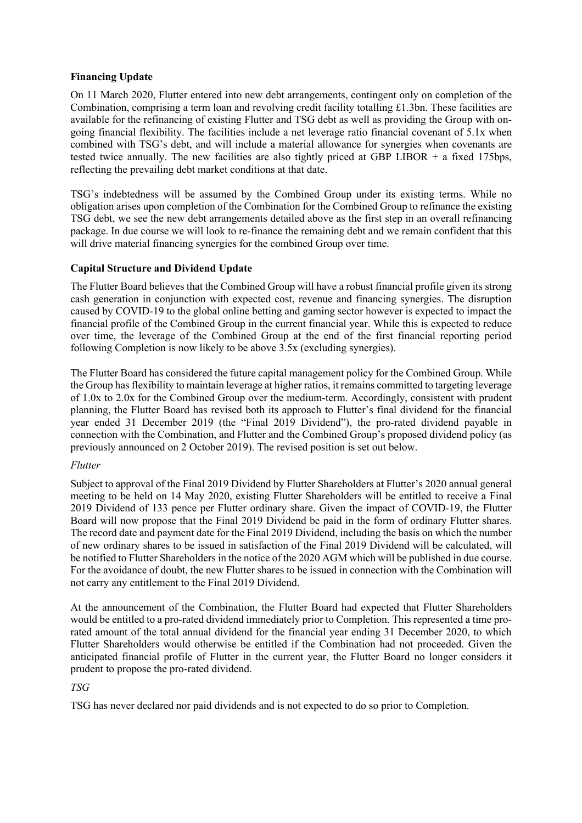## **Financing Update**

On 11 March 2020, Flutter entered into new debt arrangements, contingent only on completion of the Combination, comprising a term loan and revolving credit facility totalling £1.3bn. These facilities are available for the refinancing of existing Flutter and TSG debt as well as providing the Group with ongoing financial flexibility. The facilities include a net leverage ratio financial covenant of 5.1x when combined with TSG's debt, and will include a material allowance for synergies when covenants are tested twice annually. The new facilities are also tightly priced at GBP LIBOR  $+$  a fixed 175bps, reflecting the prevailing debt market conditions at that date.

TSG's indebtedness will be assumed by the Combined Group under its existing terms. While no obligation arises upon completion of the Combination for the Combined Group to refinance the existing TSG debt, we see the new debt arrangements detailed above as the first step in an overall refinancing package. In due course we will look to re-finance the remaining debt and we remain confident that this will drive material financing synergies for the combined Group over time.

# **Capital Structure and Dividend Update**

The Flutter Board believes that the Combined Group will have a robust financial profile given its strong cash generation in conjunction with expected cost, revenue and financing synergies. The disruption caused by COVID-19 to the global online betting and gaming sector however is expected to impact the financial profile of the Combined Group in the current financial year. While this is expected to reduce over time, the leverage of the Combined Group at the end of the first financial reporting period following Completion is now likely to be above 3.5x (excluding synergies).

The Flutter Board has considered the future capital management policy for the Combined Group. While the Group has flexibility to maintain leverage at higher ratios, it remains committed to targeting leverage of 1.0x to 2.0x for the Combined Group over the medium-term. Accordingly, consistent with prudent planning, the Flutter Board has revised both its approach to Flutter's final dividend for the financial year ended 31 December 2019 (the "Final 2019 Dividend"), the pro-rated dividend payable in connection with the Combination, and Flutter and the Combined Group's proposed dividend policy (as previously announced on 2 October 2019). The revised position is set out below.

## *Flutter*

Subject to approval of the Final 2019 Dividend by Flutter Shareholders at Flutter's 2020 annual general meeting to be held on 14 May 2020, existing Flutter Shareholders will be entitled to receive a Final 2019 Dividend of 133 pence per Flutter ordinary share. Given the impact of COVID-19, the Flutter Board will now propose that the Final 2019 Dividend be paid in the form of ordinary Flutter shares. The record date and payment date for the Final 2019 Dividend, including the basis on which the number of new ordinary shares to be issued in satisfaction of the Final 2019 Dividend will be calculated, will be notified to Flutter Shareholders in the notice of the 2020 AGM which will be published in due course. For the avoidance of doubt, the new Flutter shares to be issued in connection with the Combination will not carry any entitlement to the Final 2019 Dividend.

At the announcement of the Combination, the Flutter Board had expected that Flutter Shareholders would be entitled to a pro-rated dividend immediately prior to Completion. This represented a time prorated amount of the total annual dividend for the financial year ending 31 December 2020, to which Flutter Shareholders would otherwise be entitled if the Combination had not proceeded. Given the anticipated financial profile of Flutter in the current year, the Flutter Board no longer considers it prudent to propose the pro-rated dividend.

# *TSG*

TSG has never declared nor paid dividends and is not expected to do so prior to Completion.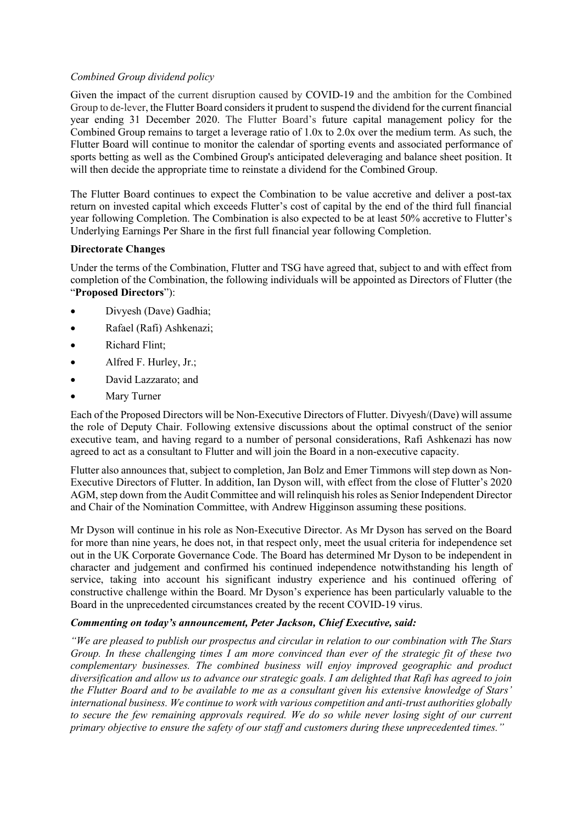## *Combined Group dividend policy*

Given the impact of the current disruption caused by COVID-19 and the ambition for the Combined Group to de-lever, the Flutter Board considers it prudent to suspend the dividend for the current financial year ending 31 December 2020. The Flutter Board's future capital management policy for the Combined Group remains to target a leverage ratio of 1.0x to 2.0x over the medium term. As such, the Flutter Board will continue to monitor the calendar of sporting events and associated performance of sports betting as well as the Combined Group's anticipated deleveraging and balance sheet position. It will then decide the appropriate time to reinstate a dividend for the Combined Group.

The Flutter Board continues to expect the Combination to be value accretive and deliver a post-tax return on invested capital which exceeds Flutter's cost of capital by the end of the third full financial year following Completion. The Combination is also expected to be at least 50% accretive to Flutter's Underlying Earnings Per Share in the first full financial year following Completion.

## **Directorate Changes**

Under the terms of the Combination, Flutter and TSG have agreed that, subject to and with effect from completion of the Combination, the following individuals will be appointed as Directors of Flutter (the "**Proposed Directors**"):

- Divyesh (Dave) Gadhia;
- Rafael (Rafi) Ashkenazi;
- Richard Flint;
- Alfred F. Hurley, Jr.;
- David Lazzarato; and
- Mary Turner

Each of the Proposed Directors will be Non-Executive Directors of Flutter. Divyesh/(Dave) will assume the role of Deputy Chair. Following extensive discussions about the optimal construct of the senior executive team, and having regard to a number of personal considerations, Rafi Ashkenazi has now agreed to act as a consultant to Flutter and will join the Board in a non-executive capacity.

Flutter also announces that, subject to completion, Jan Bolz and Emer Timmons will step down as Non-Executive Directors of Flutter. In addition, Ian Dyson will, with effect from the close of Flutter's 2020 AGM, step down from the Audit Committee and will relinquish his roles as Senior Independent Director and Chair of the Nomination Committee, with Andrew Higginson assuming these positions.

Mr Dyson will continue in his role as Non-Executive Director. As Mr Dyson has served on the Board for more than nine years, he does not, in that respect only, meet the usual criteria for independence set out in the UK Corporate Governance Code. The Board has determined Mr Dyson to be independent in character and judgement and confirmed his continued independence notwithstanding his length of service, taking into account his significant industry experience and his continued offering of constructive challenge within the Board. Mr Dyson's experience has been particularly valuable to the Board in the unprecedented circumstances created by the recent COVID-19 virus.

# *Commenting on today's announcement, Peter Jackson, Chief Executive, said:*

*"We are pleased to publish our prospectus and circular in relation to our combination with The Stars Group. In these challenging times I am more convinced than ever of the strategic fit of these two complementary businesses. The combined business will enjoy improved geographic and product diversification and allow us to advance our strategic goals. I am delighted that Rafi has agreed to join the Flutter Board and to be available to me as a consultant given his extensive knowledge of Stars' international business. We continue to work with various competition and anti-trust authorities globally to secure the few remaining approvals required. We do so while never losing sight of our current primary objective to ensure the safety of our staff and customers during these unprecedented times."*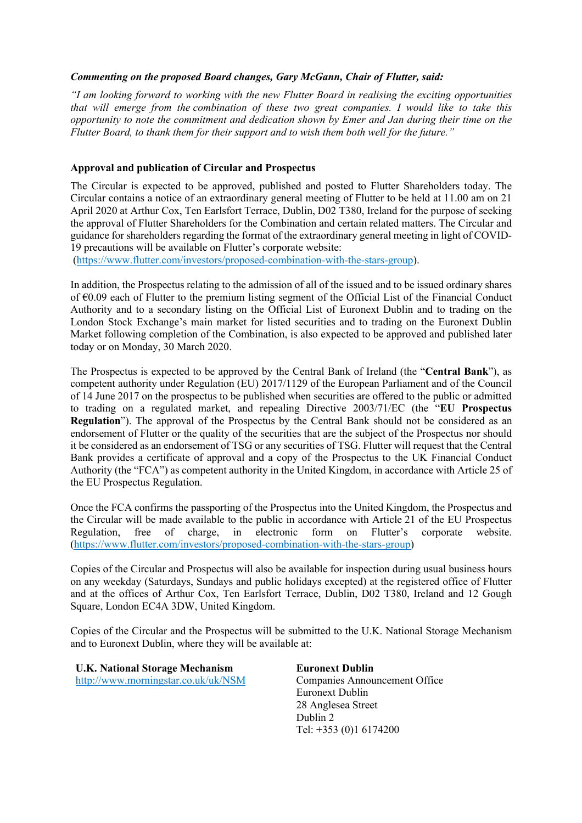## *Commenting on the proposed Board changes, Gary McGann, Chair of Flutter, said:*

*"I am looking forward to working with the new Flutter Board in realising the exciting opportunities that will emerge from the combination of these two great companies. I would like to take this opportunity to note the commitment and dedication shown by Emer and Jan during their time on the Flutter Board, to thank them for their support and to wish them both well for the future."* 

## **Approval and publication of Circular and Prospectus**

The Circular is expected to be approved, published and posted to Flutter Shareholders today. The Circular contains a notice of an extraordinary general meeting of Flutter to be held at 11.00 am on 21 April 2020 at Arthur Cox, Ten Earlsfort Terrace, Dublin, D02 T380, Ireland for the purpose of seeking the approval of Flutter Shareholders for the Combination and certain related matters. The Circular and guidance for shareholders regarding the format of the extraordinary general meeting in light of COVID-19 precautions will be available on Flutter's corporate website:

(https://www.flutter.com/investors/proposed-combination-with-the-stars-group).

In addition, the Prospectus relating to the admission of all of the issued and to be issued ordinary shares of €0.09 each of Flutter to the premium listing segment of the Official List of the Financial Conduct Authority and to a secondary listing on the Official List of Euronext Dublin and to trading on the London Stock Exchange's main market for listed securities and to trading on the Euronext Dublin Market following completion of the Combination, is also expected to be approved and published later today or on Monday, 30 March 2020.

The Prospectus is expected to be approved by the Central Bank of Ireland (the "**Central Bank**"), as competent authority under Regulation (EU) 2017/1129 of the European Parliament and of the Council of 14 June 2017 on the prospectus to be published when securities are offered to the public or admitted to trading on a regulated market, and repealing Directive 2003/71/EC (the "**EU Prospectus Regulation**"). The approval of the Prospectus by the Central Bank should not be considered as an endorsement of Flutter or the quality of the securities that are the subject of the Prospectus nor should it be considered as an endorsement of TSG or any securities of TSG. Flutter will request that the Central Bank provides a certificate of approval and a copy of the Prospectus to the UK Financial Conduct Authority (the "FCA") as competent authority in the United Kingdom, in accordance with Article 25 of the EU Prospectus Regulation.

Once the FCA confirms the passporting of the Prospectus into the United Kingdom, the Prospectus and the Circular will be made available to the public in accordance with Article 21 of the EU Prospectus Regulation, free of charge, in electronic form on Flutter's corporate website. (https://www.flutter.com/investors/proposed-combination-with-the-stars-group)

Copies of the Circular and Prospectus will also be available for inspection during usual business hours on any weekday (Saturdays, Sundays and public holidays excepted) at the registered office of Flutter and at the offices of Arthur Cox, Ten Earlsfort Terrace, Dublin, D02 T380, Ireland and 12 Gough Square, London EC4A 3DW, United Kingdom.

Copies of the Circular and the Prospectus will be submitted to the U.K. National Storage Mechanism and to Euronext Dublin, where they will be available at:

**U.K. National Storage Mechanism** http://www.morningstar.co.uk/uk/NSM **Euronext Dublin**  Companies Announcement Office Euronext Dublin 28 Anglesea Street Dublin 2 Tel: +353 (0)1 6174200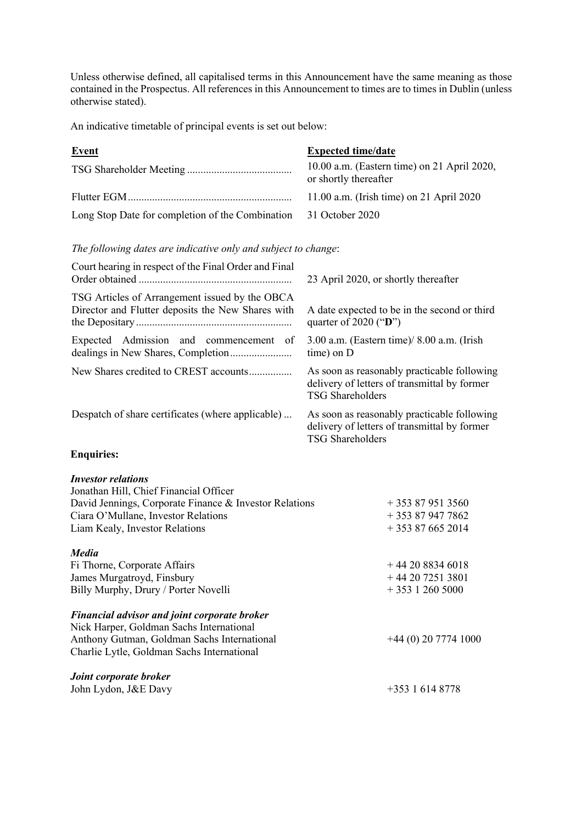Unless otherwise defined, all capitalised terms in this Announcement have the same meaning as those contained in the Prospectus. All references in this Announcement to times are to times in Dublin (unless otherwise stated).

An indicative timetable of principal events is set out below:

| <b>Event</b>                                                                                                                                                                                           | <b>Expected time/date</b>                                                                                              |
|--------------------------------------------------------------------------------------------------------------------------------------------------------------------------------------------------------|------------------------------------------------------------------------------------------------------------------------|
|                                                                                                                                                                                                        | 10.00 a.m. (Eastern time) on 21 April 2020,<br>or shortly thereafter                                                   |
|                                                                                                                                                                                                        | 11.00 a.m. (Irish time) on 21 April 2020                                                                               |
| Long Stop Date for completion of the Combination                                                                                                                                                       | 31 October 2020                                                                                                        |
| The following dates are indicative only and subject to change:                                                                                                                                         |                                                                                                                        |
| Court hearing in respect of the Final Order and Final                                                                                                                                                  | 23 April 2020, or shortly thereafter                                                                                   |
| TSG Articles of Arrangement issued by the OBCA<br>Director and Flutter deposits the New Shares with                                                                                                    | A date expected to be in the second or third<br>quarter of 2020 ("D")                                                  |
| Expected Admission and commencement of                                                                                                                                                                 | 3.00 a.m. (Eastern time)/ 8.00 a.m. (Irish<br>time) on D                                                               |
| New Shares credited to CREST accounts                                                                                                                                                                  | As soon as reasonably practicable following<br>delivery of letters of transmittal by former<br><b>TSG Shareholders</b> |
| Despatch of share certificates (where applicable)                                                                                                                                                      | As soon as reasonably practicable following<br>delivery of letters of transmittal by former<br><b>TSG Shareholders</b> |
| <b>Enquiries:</b>                                                                                                                                                                                      |                                                                                                                        |
| <b>Investor relations</b><br>Jonathan Hill, Chief Financial Officer<br>David Jennings, Corporate Finance & Investor Relations<br>Ciara O'Mullane, Investor Relations<br>Liam Kealy, Investor Relations | $+353879513560$<br>$+353879477862$<br>$+353876652014$                                                                  |
| <b>Media</b><br>Fi Thorne, Corporate Affairs<br>James Murgatroyd, Finsbury<br>Billy Murphy, Drury / Porter Novelli                                                                                     | $+442088346018$<br>$+442072513801$<br>$+353$ 1 260 5000                                                                |
| <b>Financial advisor and joint corporate broker</b><br>Nick Harper, Goldman Sachs International<br>Anthony Gutman, Goldman Sachs International<br>Charlie Lytle, Goldman Sachs International           | $+44(0)$ 20 7774 1000                                                                                                  |
| Joint corporate broker                                                                                                                                                                                 |                                                                                                                        |

John Lydon, J&E Davy +353 1 614 8778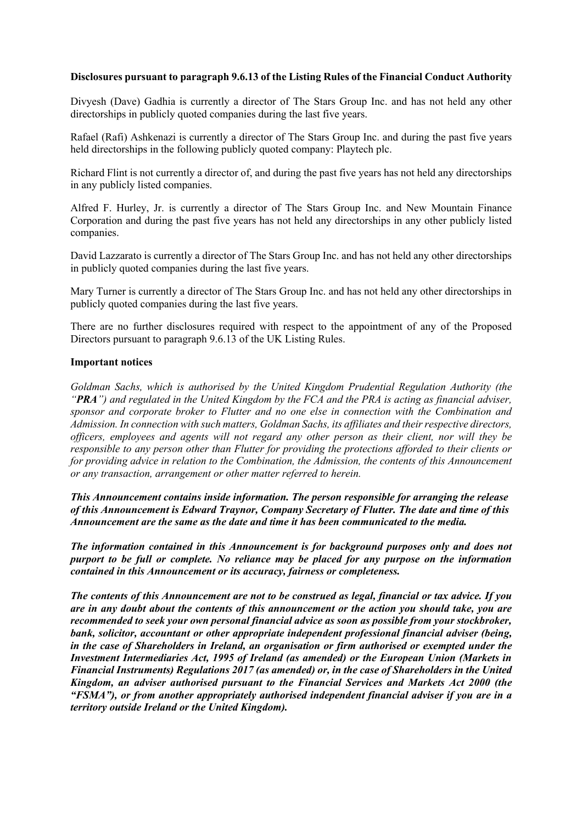## **Disclosures pursuant to paragraph 9.6.13 of the Listing Rules of the Financial Conduct Authority**

Divyesh (Dave) Gadhia is currently a director of The Stars Group Inc. and has not held any other directorships in publicly quoted companies during the last five years.

Rafael (Rafi) Ashkenazi is currently a director of The Stars Group Inc. and during the past five years held directorships in the following publicly quoted company: Playtech plc.

Richard Flint is not currently a director of, and during the past five years has not held any directorships in any publicly listed companies.

Alfred F. Hurley, Jr. is currently a director of The Stars Group Inc. and New Mountain Finance Corporation and during the past five years has not held any directorships in any other publicly listed companies.

David Lazzarato is currently a director of The Stars Group Inc. and has not held any other directorships in publicly quoted companies during the last five years.

Mary Turner is currently a director of The Stars Group Inc. and has not held any other directorships in publicly quoted companies during the last five years.

There are no further disclosures required with respect to the appointment of any of the Proposed Directors pursuant to paragraph 9.6.13 of the UK Listing Rules.

### **Important notices**

*Goldman Sachs, which is authorised by the United Kingdom Prudential Regulation Authority (the "PRA") and regulated in the United Kingdom by the FCA and the PRA is acting as financial adviser, sponsor and corporate broker to Flutter and no one else in connection with the Combination and Admission. In connection with such matters, Goldman Sachs, its affiliates and their respective directors, officers, employees and agents will not regard any other person as their client, nor will they be responsible to any person other than Flutter for providing the protections afforded to their clients or for providing advice in relation to the Combination, the Admission, the contents of this Announcement or any transaction, arrangement or other matter referred to herein.*

*This Announcement contains inside information. The person responsible for arranging the release of this Announcement is Edward Traynor, Company Secretary of Flutter. The date and time of this Announcement are the same as the date and time it has been communicated to the media.*

*The information contained in this Announcement is for background purposes only and does not purport to be full or complete. No reliance may be placed for any purpose on the information contained in this Announcement or its accuracy, fairness or completeness.* 

*The contents of this Announcement are not to be construed as legal, financial or tax advice. If you are in any doubt about the contents of this announcement or the action you should take, you are recommended to seek your own personal financial advice as soon as possible from your stockbroker, bank, solicitor, accountant or other appropriate independent professional financial adviser (being, in the case of Shareholders in Ireland, an organisation or firm authorised or exempted under the Investment Intermediaries Act, 1995 of Ireland (as amended) or the European Union (Markets in Financial Instruments) Regulations 2017 (as amended) or, in the case of Shareholders in the United Kingdom, an adviser authorised pursuant to the Financial Services and Markets Act 2000 (the "FSMA"), or from another appropriately authorised independent financial adviser if you are in a territory outside Ireland or the United Kingdom).*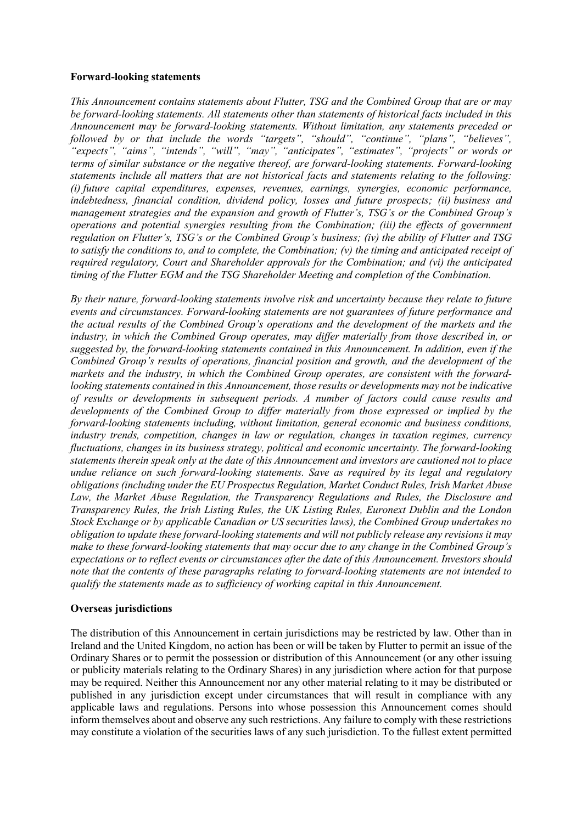### **Forward-looking statements**

*This Announcement contains statements about Flutter, TSG and the Combined Group that are or may be forward-looking statements. All statements other than statements of historical facts included in this Announcement may be forward-looking statements. Without limitation, any statements preceded or followed by or that include the words "targets", "should", "continue", "plans", "believes", "expects", "aims", "intends", "will", "may", "anticipates", "estimates", "projects" or words or terms of similar substance or the negative thereof, are forward-looking statements. Forward-looking statements include all matters that are not historical facts and statements relating to the following: (i) future capital expenditures, expenses, revenues, earnings, synergies, economic performance, indebtedness, financial condition, dividend policy, losses and future prospects; (ii) business and management strategies and the expansion and growth of Flutter's, TSG's or the Combined Group's operations and potential synergies resulting from the Combination; (iii) the effects of government regulation on Flutter's, TSG's or the Combined Group's business; (iv) the ability of Flutter and TSG to satisfy the conditions to, and to complete, the Combination; (v) the timing and anticipated receipt of required regulatory, Court and Shareholder approvals for the Combination; and (vi) the anticipated timing of the Flutter EGM and the TSG Shareholder Meeting and completion of the Combination.*

*By their nature, forward-looking statements involve risk and uncertainty because they relate to future events and circumstances. Forward-looking statements are not guarantees of future performance and the actual results of the Combined Group's operations and the development of the markets and the industry, in which the Combined Group operates, may differ materially from those described in, or suggested by, the forward-looking statements contained in this Announcement. In addition, even if the Combined Group's results of operations, financial position and growth, and the development of the markets and the industry, in which the Combined Group operates, are consistent with the forwardlooking statements contained in this Announcement, those results or developments may not be indicative of results or developments in subsequent periods. A number of factors could cause results and developments of the Combined Group to differ materially from those expressed or implied by the forward-looking statements including, without limitation, general economic and business conditions, industry trends, competition, changes in law or regulation, changes in taxation regimes, currency fluctuations, changes in its business strategy, political and economic uncertainty. The forward-looking statements therein speak only at the date of this Announcement and investors are cautioned not to place undue reliance on such forward-looking statements. Save as required by its legal and regulatory obligations (including under the EU Prospectus Regulation, Market Conduct Rules, Irish Market Abuse Law, the Market Abuse Regulation, the Transparency Regulations and Rules, the Disclosure and Transparency Rules, the Irish Listing Rules, the UK Listing Rules, Euronext Dublin and the London Stock Exchange or by applicable Canadian or US securities laws), the Combined Group undertakes no obligation to update these forward-looking statements and will not publicly release any revisions it may make to these forward-looking statements that may occur due to any change in the Combined Group's expectations or to reflect events or circumstances after the date of this Announcement. Investors should note that the contents of these paragraphs relating to forward-looking statements are not intended to qualify the statements made as to sufficiency of working capital in this Announcement.*

## **Overseas jurisdictions**

The distribution of this Announcement in certain jurisdictions may be restricted by law. Other than in Ireland and the United Kingdom, no action has been or will be taken by Flutter to permit an issue of the Ordinary Shares or to permit the possession or distribution of this Announcement (or any other issuing or publicity materials relating to the Ordinary Shares) in any jurisdiction where action for that purpose may be required. Neither this Announcement nor any other material relating to it may be distributed or published in any jurisdiction except under circumstances that will result in compliance with any applicable laws and regulations. Persons into whose possession this Announcement comes should inform themselves about and observe any such restrictions. Any failure to comply with these restrictions may constitute a violation of the securities laws of any such jurisdiction. To the fullest extent permitted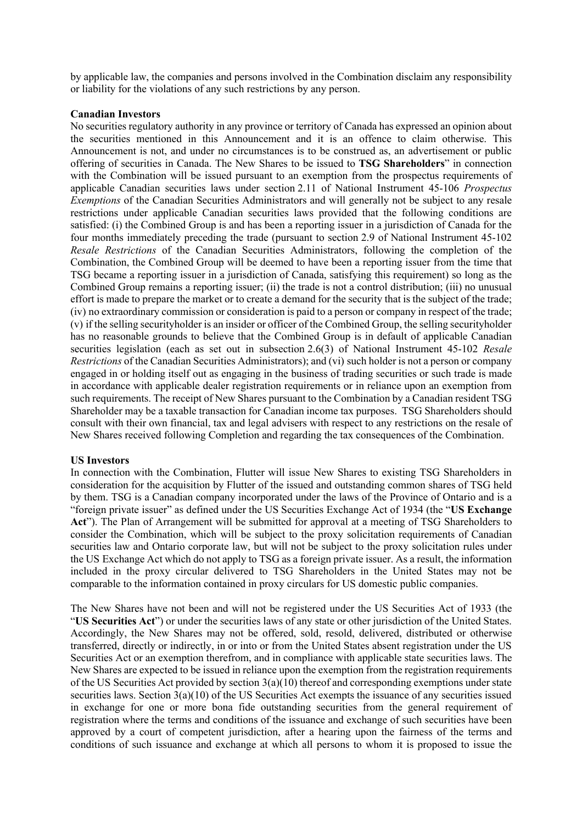by applicable law, the companies and persons involved in the Combination disclaim any responsibility or liability for the violations of any such restrictions by any person.

#### **Canadian Investors**

No securities regulatory authority in any province or territory of Canada has expressed an opinion about the securities mentioned in this Announcement and it is an offence to claim otherwise. This Announcement is not, and under no circumstances is to be construed as, an advertisement or public offering of securities in Canada. The New Shares to be issued to **TSG Shareholders**" in connection with the Combination will be issued pursuant to an exemption from the prospectus requirements of applicable Canadian securities laws under section 2.11 of National Instrument 45-106 *Prospectus Exemptions* of the Canadian Securities Administrators and will generally not be subject to any resale restrictions under applicable Canadian securities laws provided that the following conditions are satisfied: (i) the Combined Group is and has been a reporting issuer in a jurisdiction of Canada for the four months immediately preceding the trade (pursuant to section 2.9 of National Instrument 45-102 *Resale Restrictions* of the Canadian Securities Administrators, following the completion of the Combination, the Combined Group will be deemed to have been a reporting issuer from the time that TSG became a reporting issuer in a jurisdiction of Canada, satisfying this requirement) so long as the Combined Group remains a reporting issuer; (ii) the trade is not a control distribution; (iii) no unusual effort is made to prepare the market or to create a demand for the security that is the subject of the trade; (iv) no extraordinary commission or consideration is paid to a person or company in respect of the trade; (v) if the selling securityholder is an insider or officer of the Combined Group, the selling securityholder has no reasonable grounds to believe that the Combined Group is in default of applicable Canadian securities legislation (each as set out in subsection 2.6(3) of National Instrument 45-102 *Resale Restrictions* of the Canadian Securities Administrators); and (vi) such holder is not a person or company engaged in or holding itself out as engaging in the business of trading securities or such trade is made in accordance with applicable dealer registration requirements or in reliance upon an exemption from such requirements. The receipt of New Shares pursuant to the Combination by a Canadian resident TSG Shareholder may be a taxable transaction for Canadian income tax purposes. TSG Shareholders should consult with their own financial, tax and legal advisers with respect to any restrictions on the resale of New Shares received following Completion and regarding the tax consequences of the Combination.

#### **US Investors**

In connection with the Combination, Flutter will issue New Shares to existing TSG Shareholders in consideration for the acquisition by Flutter of the issued and outstanding common shares of TSG held by them. TSG is a Canadian company incorporated under the laws of the Province of Ontario and is a "foreign private issuer" as defined under the US Securities Exchange Act of 1934 (the "**US Exchange Act**"). The Plan of Arrangement will be submitted for approval at a meeting of TSG Shareholders to consider the Combination, which will be subject to the proxy solicitation requirements of Canadian securities law and Ontario corporate law, but will not be subject to the proxy solicitation rules under the US Exchange Act which do not apply to TSG as a foreign private issuer. As a result, the information included in the proxy circular delivered to TSG Shareholders in the United States may not be comparable to the information contained in proxy circulars for US domestic public companies.

The New Shares have not been and will not be registered under the US Securities Act of 1933 (the "**US Securities Act**") or under the securities laws of any state or other jurisdiction of the United States. Accordingly, the New Shares may not be offered, sold, resold, delivered, distributed or otherwise transferred, directly or indirectly, in or into or from the United States absent registration under the US Securities Act or an exemption therefrom, and in compliance with applicable state securities laws. The New Shares are expected to be issued in reliance upon the exemption from the registration requirements of the US Securities Act provided by section 3(a)(10) thereof and corresponding exemptions under state securities laws. Section  $\overline{3}(a)(10)$  of the US Securities Act exempts the issuance of any securities issued in exchange for one or more bona fide outstanding securities from the general requirement of registration where the terms and conditions of the issuance and exchange of such securities have been approved by a court of competent jurisdiction, after a hearing upon the fairness of the terms and conditions of such issuance and exchange at which all persons to whom it is proposed to issue the